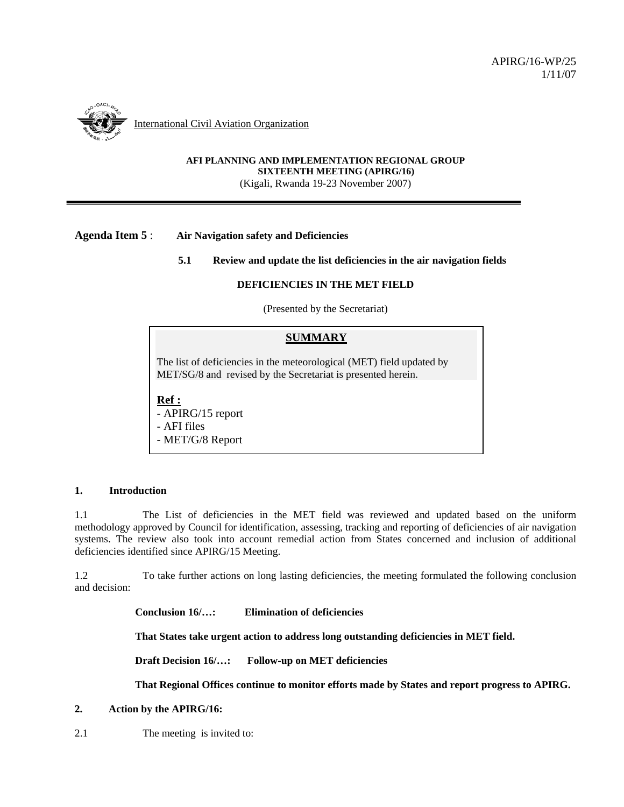

#### **AFI PLANNING AND IMPLEMENTATION REGIONAL GROUP SIXTEENTH MEETING (APIRG/16)**  (Kigali, Rwanda 19-23 November 2007)

## **Agenda Item 5** : **Air Navigation safety and Deficiencies**

### **5.1 Review and update the list deficiencies in the air navigation fields**

### **DEFICIENCIES IN THE MET FIELD**

(Presented by the Secretariat)

### **SUMMARY**

The list of deficiencies in the meteorological (MET) field updated by MET/SG/8 and revised by the Secretariat is presented herein.

### **Ref :**

- APIRG/15 report - AFI files - MET/G/8 Report

#### **1. Introduction**

1.1 The List of deficiencies in the MET field was reviewed and updated based on the uniform methodology approved by Council for identification, assessing, tracking and reporting of deficiencies of air navigation systems. The review also took into account remedial action from States concerned and inclusion of additional deficiencies identified since APIRG/15 Meeting.

1.2 To take further actions on long lasting deficiencies, the meeting formulated the following conclusion and decision:

**Conclusion 16/…: Elimination of deficiencies** 

**That States take urgent action to address long outstanding deficiencies in MET field.** 

**Draft Decision 16/…: Follow-up on MET deficiencies** 

**That Regional Offices continue to monitor efforts made by States and report progress to APIRG.** 

## **2. Action by the APIRG/16:**

2.1 The meeting is invited to: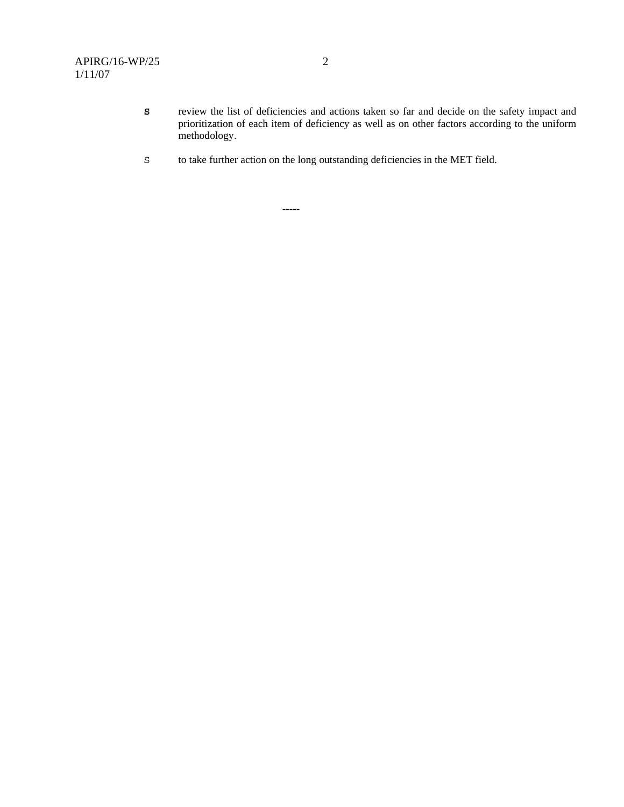- **S** review the list of deficiencies and actions taken so far and decide on the safety impact and prioritization of each item of deficiency as well as on other factors according to the uniform methodology.
- S to take further action on the long outstanding deficiencies in the MET field.

 **-----**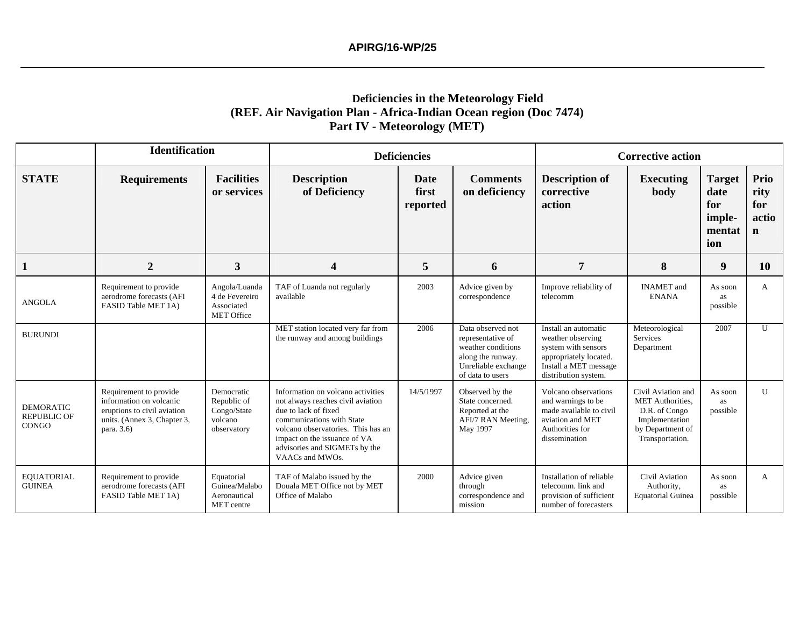# **Deficiencies in the Meteorology Field (REF. Air Navigation Plan - Africa-Indian Ocean region (Doc 7474) Part IV - Meteorology (MET)**

|                                                        | <b>Identification</b>                                                                                                         |                                                                    |                                                                                                                                                                                                                                                       | <b>Deficiencies</b>              |                                                                                                                              | <b>Corrective action</b>                                                                                                                    |                                                                                                                         |                                                         |                                             |  |
|--------------------------------------------------------|-------------------------------------------------------------------------------------------------------------------------------|--------------------------------------------------------------------|-------------------------------------------------------------------------------------------------------------------------------------------------------------------------------------------------------------------------------------------------------|----------------------------------|------------------------------------------------------------------------------------------------------------------------------|---------------------------------------------------------------------------------------------------------------------------------------------|-------------------------------------------------------------------------------------------------------------------------|---------------------------------------------------------|---------------------------------------------|--|
| <b>STATE</b>                                           | <b>Requirements</b>                                                                                                           | <b>Facilities</b><br>or services                                   | <b>Description</b><br>of Deficiency                                                                                                                                                                                                                   | <b>Date</b><br>first<br>reported | <b>Comments</b><br>on deficiency                                                                                             | <b>Description of</b><br>corrective<br>action                                                                                               | <b>Executing</b><br>body                                                                                                | <b>Target</b><br>date<br>for<br>imple-<br>mentat<br>ion | Prio<br>rity<br>for<br>actio<br>$\mathbf n$ |  |
| 1                                                      | $\overline{2}$                                                                                                                | $\mathbf{3}$                                                       | $\overline{\mathbf{4}}$                                                                                                                                                                                                                               | 5                                | 6                                                                                                                            | $\overline{7}$                                                                                                                              | 8                                                                                                                       | 9                                                       | <b>10</b>                                   |  |
| <b>ANGOLA</b>                                          | Requirement to provide<br>aerodrome forecasts (AFI<br>FASID Table MET 1A)                                                     | Angola/Luanda<br>4 de Fevereiro<br>Associated<br><b>MET Office</b> | TAF of Luanda not regularly<br>available                                                                                                                                                                                                              | 2003                             | Advice given by<br>correspondence                                                                                            | Improve reliability of<br>telecomm                                                                                                          | <b>INAMET</b> and<br><b>ENANA</b>                                                                                       | As soon<br>as<br>possible                               | A                                           |  |
| <b>BURUNDI</b>                                         |                                                                                                                               |                                                                    | MET station located very far from<br>the runway and among buildings                                                                                                                                                                                   | 2006                             | Data observed not<br>representative of<br>weather conditions<br>along the runway.<br>Unreliable exchange<br>of data to users | Install an automatic<br>weather observing<br>system with sensors<br>appropriately located.<br>Install a MET message<br>distribution system. | Meteorological<br>Services<br>Department                                                                                | 2007                                                    | $\mathbf{U}$                                |  |
| <b>DEMORATIC</b><br><b>REPUBLIC OF</b><br><b>CONGO</b> | Requirement to provide<br>information on volcanic<br>eruptions to civil aviation<br>units. (Annex 3, Chapter 3,<br>para. 3.6) | Democratic<br>Republic of<br>Congo/State<br>volcano<br>observatory | Information on volcano activities<br>not always reaches civil aviation<br>due to lack of fixed<br>communications with State<br>volcano observatories. This has an<br>impact on the issuance of VA<br>advisories and SIGMETs by the<br>VAACs and MWOs. | 14/5/1997                        | Observed by the<br>State concerned.<br>Reported at the<br>AFI/7 RAN Meeting,<br>May 1997                                     | Volcano observations<br>and warnings to be<br>made available to civil<br>aviation and MET<br>Authorities for<br>dissemination               | Civil Aviation and<br><b>MET</b> Authorities.<br>D.R. of Congo<br>Implementation<br>by Department of<br>Transportation. | As soon<br><b>as</b><br>possible                        | $\mathbf{U}$                                |  |
| <b>EQUATORIAL</b><br><b>GUINEA</b>                     | Requirement to provide<br>aerodrome forecasts (AFI<br>FASID Table MET 1A)                                                     | Equatorial<br>Guinea/Malabo<br>Aeronautical<br>MET centre          | TAF of Malabo issued by the<br>Douala MET Office not by MET<br>Office of Malabo                                                                                                                                                                       | 2000                             | Advice given<br>through<br>correspondence and<br>mission                                                                     | Installation of reliable<br>telecomm. link and<br>provision of sufficient<br>number of forecasters                                          | Civil Aviation<br>Authority,<br><b>Equatorial Guinea</b>                                                                | As soon<br>as<br>possible                               | A                                           |  |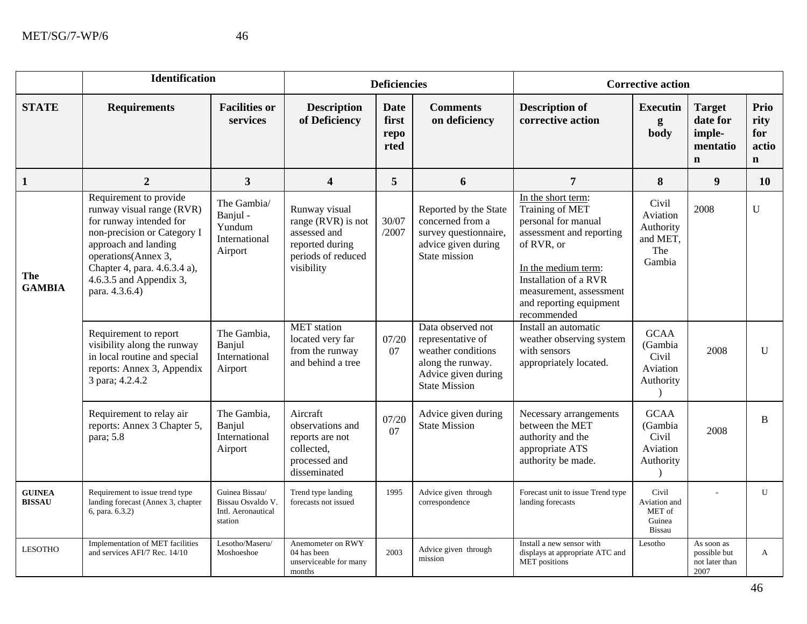|                                | <b>Identification</b>                                                                                                                                                                                                                     |                                                                      |                                                                                                            | <b>Deficiencies</b>                  |                                                                                                                                  |                                                                                                                                                                                                                             | <b>Corrective action</b>                                    |                                                                |                                              |  |
|--------------------------------|-------------------------------------------------------------------------------------------------------------------------------------------------------------------------------------------------------------------------------------------|----------------------------------------------------------------------|------------------------------------------------------------------------------------------------------------|--------------------------------------|----------------------------------------------------------------------------------------------------------------------------------|-----------------------------------------------------------------------------------------------------------------------------------------------------------------------------------------------------------------------------|-------------------------------------------------------------|----------------------------------------------------------------|----------------------------------------------|--|
| <b>STATE</b>                   | <b>Requirements</b>                                                                                                                                                                                                                       | <b>Facilities or</b><br>services                                     | <b>Description</b><br>of Deficiency                                                                        | <b>Date</b><br>first<br>repo<br>rted | <b>Comments</b><br>on deficiency                                                                                                 | <b>Description of</b><br>corrective action                                                                                                                                                                                  | <b>Executin</b><br>g<br>body                                | <b>Target</b><br>date for<br>imple-<br>mentatio<br>$\mathbf n$ | Prio<br>rity<br>for<br>actio<br>$\mathbf{n}$ |  |
| $\mathbf{1}$                   | $\overline{2}$                                                                                                                                                                                                                            | 3                                                                    | $\overline{\mathbf{4}}$                                                                                    | 5                                    | 6                                                                                                                                | $\overline{7}$                                                                                                                                                                                                              | 8                                                           | $\boldsymbol{9}$                                               | <b>10</b>                                    |  |
| <b>The</b><br><b>GAMBIA</b>    | Requirement to provide<br>runway visual range (RVR)<br>for runway intended for<br>non-precision or Category I<br>approach and landing<br>operations(Annex 3,<br>Chapter 4, para. 4.6.3.4 a),<br>4.6.3.5 and Appendix 3,<br>para. 4.3.6.4) | The Gambia/<br>Banjul -<br>Yundum<br>International<br>Airport        | Runway visual<br>range (RVR) is not<br>assessed and<br>reported during<br>periods of reduced<br>visibility | 30/07<br>/2007                       | Reported by the State<br>concerned from a<br>survey questionnaire,<br>advice given during<br>State mission                       | In the short term:<br>Training of MET<br>personal for manual<br>assessment and reporting<br>of RVR, or<br>In the medium term:<br>Installation of a RVR<br>measurement, assessment<br>and reporting equipment<br>recommended | Civil<br>Aviation<br>Authority<br>and MET,<br>The<br>Gambia | 2008                                                           | $\mathbf U$                                  |  |
|                                | Requirement to report<br>visibility along the runway<br>in local routine and special<br>reports: Annex 3, Appendix<br>3 para; 4.2.4.2                                                                                                     | The Gambia,<br>Banjul<br>International<br>Airport                    | <b>MET</b> station<br>located very far<br>from the runway<br>and behind a tree                             | 07/20<br>07                          | Data observed not<br>representative of<br>weather conditions<br>along the runway.<br>Advice given during<br><b>State Mission</b> | Install an automatic<br>weather observing system<br>with sensors<br>appropriately located.                                                                                                                                  | <b>GCAA</b><br>(Gambia<br>Civil<br>Aviation<br>Authority    | 2008                                                           | $\mathbf{U}$                                 |  |
|                                | Requirement to relay air<br>reports: Annex 3 Chapter 5,<br>para; 5.8                                                                                                                                                                      | The Gambia,<br>Banjul<br>International<br>Airport                    | Aircraft<br>observations and<br>reports are not<br>collected,<br>processed and<br>disseminated             | 07/20<br>07                          | Advice given during<br><b>State Mission</b>                                                                                      | Necessary arrangements<br>between the MET<br>authority and the<br>appropriate ATS<br>authority be made.                                                                                                                     | <b>GCAA</b><br>(Gambia<br>Civil<br>Aviation<br>Authority    | 2008                                                           | B                                            |  |
| <b>GUINEA</b><br><b>BISSAU</b> | Requirement to issue trend type<br>landing forecast (Annex 3, chapter<br>6, para. 6.3.2)                                                                                                                                                  | Guinea Bissau/<br>Bissau Osvaldo V.<br>Intl. Aeronautical<br>station | Trend type landing<br>forecasts not issued                                                                 | 1995                                 | Advice given through<br>correspondence                                                                                           | Forecast unit to issue Trend type<br>landing forecasts                                                                                                                                                                      | Civil<br>Aviation and<br>MET of<br>Guinea<br><b>Bissau</b>  |                                                                | $\mathbf{U}$                                 |  |
| <b>LESOTHO</b>                 | Implementation of MET facilities<br>and services AFI/7 Rec. 14/10                                                                                                                                                                         | Lesotho/Maseru/<br>Moshoeshoe                                        | Anemometer on RWY<br>04 has been<br>unserviceable for many<br>months                                       | 2003                                 | Advice given through<br>mission                                                                                                  | Install a new sensor with<br>displays at appropriate ATC and<br><b>MET</b> positions                                                                                                                                        | Lesotho                                                     | As soon as<br>possible but<br>not later than<br>2007           | $\mathbf{A}$                                 |  |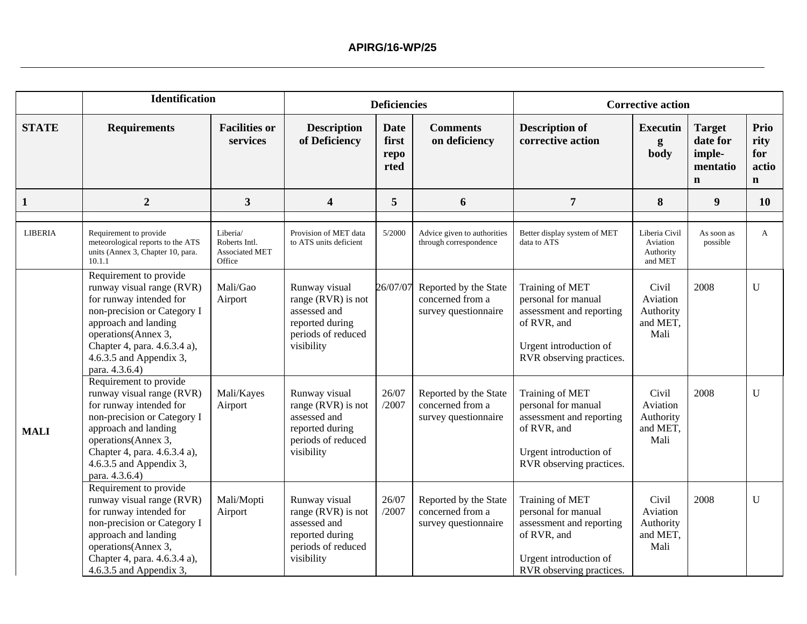|                | <b>Identification</b>                                                                                                                                                                                                                     |                                                       |                                                                                                            | <b>Deficiencies</b>                  |                                                                   | <b>Corrective action</b>                                                                                                                |                                                    |                                                                |                                             |
|----------------|-------------------------------------------------------------------------------------------------------------------------------------------------------------------------------------------------------------------------------------------|-------------------------------------------------------|------------------------------------------------------------------------------------------------------------|--------------------------------------|-------------------------------------------------------------------|-----------------------------------------------------------------------------------------------------------------------------------------|----------------------------------------------------|----------------------------------------------------------------|---------------------------------------------|
| <b>STATE</b>   | <b>Requirements</b>                                                                                                                                                                                                                       | <b>Facilities or</b><br>services                      | <b>Description</b><br>of Deficiency                                                                        | <b>Date</b><br>first<br>repo<br>rted | <b>Comments</b><br>on deficiency                                  | <b>Description of</b><br>corrective action                                                                                              | <b>Executin</b><br>g<br>body                       | <b>Target</b><br>date for<br>imple-<br>mentatio<br>$\mathbf n$ | Prio<br>rity<br>for<br>actio<br>$\mathbf n$ |
| $\mathbf{1}$   | $\overline{2}$                                                                                                                                                                                                                            | 3                                                     | 4                                                                                                          | 5                                    | 6                                                                 | $\overline{7}$                                                                                                                          | 8                                                  | 9                                                              | <b>10</b>                                   |
| <b>LIBERIA</b> | Requirement to provide<br>meteorological reports to the ATS<br>units (Annex 3, Chapter 10, para.<br>10.1.1                                                                                                                                | Liberia/<br>Roberts Intl.<br>Associated MET<br>Office | Provision of MET data<br>to ATS units deficient                                                            | 5/2000                               | Advice given to authorities<br>through correspondence             | Better display system of MET<br>data to ATS                                                                                             | Liberia Civil<br>Aviation<br>Authority<br>and MET  | As soon as<br>possible                                         | A                                           |
| <b>MALI</b>    | Requirement to provide<br>runway visual range (RVR)<br>for runway intended for<br>non-precision or Category I<br>approach and landing<br>operations(Annex 3,<br>Chapter 4, para. 4.6.3.4 a),<br>4.6.3.5 and Appendix 3,<br>para. 4.3.6.4) | Mali/Gao<br>Airport                                   | Runway visual<br>range (RVR) is not<br>assessed and<br>reported during<br>periods of reduced<br>visibility | 26/07/07                             | Reported by the State<br>concerned from a<br>survey questionnaire | Training of MET<br>personal for manual<br>assessment and reporting<br>of RVR, and<br>Urgent introduction of<br>RVR observing practices. | Civil<br>Aviation<br>Authority<br>and MET,<br>Mali | 2008                                                           | $\mathbf U$                                 |
|                | Requirement to provide<br>runway visual range (RVR)<br>for runway intended for<br>non-precision or Category I<br>approach and landing<br>operations(Annex 3,<br>Chapter 4, para. 4.6.3.4 a),<br>4.6.3.5 and Appendix 3,<br>para. 4.3.6.4) | Mali/Kayes<br>Airport                                 | Runway visual<br>range (RVR) is not<br>assessed and<br>reported during<br>periods of reduced<br>visibility | 26/07<br>/2007                       | Reported by the State<br>concerned from a<br>survey questionnaire | Training of MET<br>personal for manual<br>assessment and reporting<br>of RVR, and<br>Urgent introduction of<br>RVR observing practices. | Civil<br>Aviation<br>Authority<br>and MET,<br>Mali | 2008                                                           | U                                           |
|                | Requirement to provide<br>runway visual range (RVR)<br>for runway intended for<br>non-precision or Category I<br>approach and landing<br>operations(Annex 3,<br>Chapter 4, para. 4.6.3.4 a),<br>4.6.3.5 and Appendix 3,                   | Mali/Mopti<br>Airport                                 | Runway visual<br>range (RVR) is not<br>assessed and<br>reported during<br>periods of reduced<br>visibility | 26/07<br>/2007                       | Reported by the State<br>concerned from a<br>survey questionnaire | Training of MET<br>personal for manual<br>assessment and reporting<br>of RVR, and<br>Urgent introduction of<br>RVR observing practices. | Civil<br>Aviation<br>Authority<br>and MET,<br>Mali | 2008                                                           | U                                           |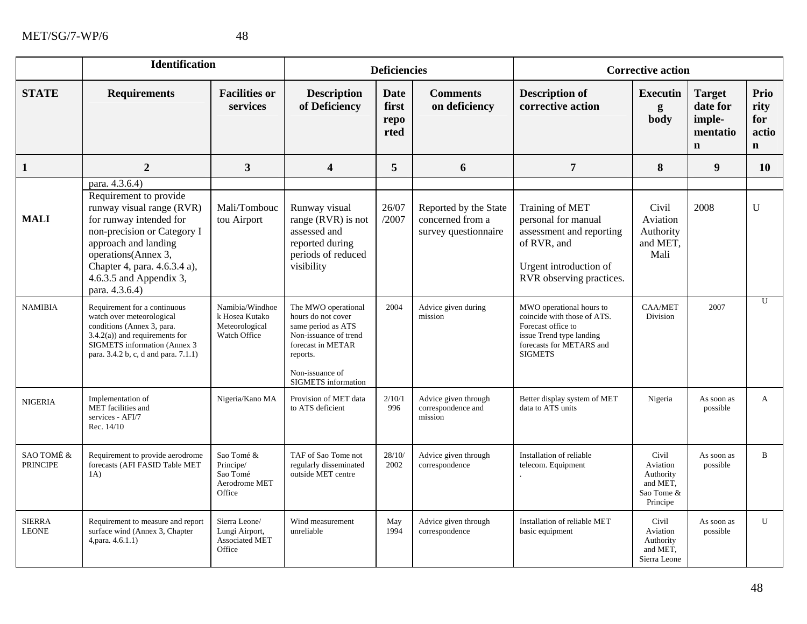|                               | <b>Identification</b>                                                                                                                                                                                                                                       |                                                                     |                                                                                                                                                                            | <b>Deficiencies</b>                  |                                                                   |                                                                                                                                                         | <b>Corrective action</b>                                             |                                                                |                                             |  |
|-------------------------------|-------------------------------------------------------------------------------------------------------------------------------------------------------------------------------------------------------------------------------------------------------------|---------------------------------------------------------------------|----------------------------------------------------------------------------------------------------------------------------------------------------------------------------|--------------------------------------|-------------------------------------------------------------------|---------------------------------------------------------------------------------------------------------------------------------------------------------|----------------------------------------------------------------------|----------------------------------------------------------------|---------------------------------------------|--|
| <b>STATE</b>                  | <b>Requirements</b>                                                                                                                                                                                                                                         | <b>Facilities or</b><br>services                                    | <b>Description</b><br>of Deficiency                                                                                                                                        | <b>Date</b><br>first<br>repo<br>rted | <b>Comments</b><br>on deficiency                                  | <b>Description of</b><br>corrective action                                                                                                              | <b>Executin</b><br>g<br>body                                         | <b>Target</b><br>date for<br>imple-<br>mentatio<br>$\mathbf n$ | Prio<br>rity<br>for<br>actio<br>$\mathbf n$ |  |
| $\mathbf{1}$                  | $\overline{2}$                                                                                                                                                                                                                                              | $\mathbf{3}$                                                        | $\overline{\mathbf{4}}$                                                                                                                                                    | 5                                    | 6                                                                 | $\overline{7}$                                                                                                                                          | 8                                                                    | 9                                                              | 10                                          |  |
| <b>MALI</b>                   | para. 4.3.6.4)<br>Requirement to provide<br>runway visual range (RVR)<br>for runway intended for<br>non-precision or Category I<br>approach and landing<br>operations(Annex 3,<br>Chapter 4, para. 4.6.3.4 a),<br>4.6.3.5 and Appendix 3,<br>para. 4.3.6.4) | Mali/Tombouc<br>tou Airport                                         | Runway visual<br>range (RVR) is not<br>assessed and<br>reported during<br>periods of reduced<br>visibility                                                                 | 26/07<br>/2007                       | Reported by the State<br>concerned from a<br>survey questionnaire | Training of MET<br>personal for manual<br>assessment and reporting<br>of RVR, and<br>Urgent introduction of<br>RVR observing practices.                 | Civil<br>Aviation<br>Authority<br>and MET,<br>Mali                   | 2008                                                           | U                                           |  |
| <b>NAMIBIA</b>                | Requirement for a continuous<br>watch over meteorological<br>conditions (Annex 3, para.<br>$3.4.2(a)$ ) and requirements for<br>SIGMETS information (Annex 3<br>para. 3.4.2 b, c, d and para. 7.1.1)                                                        | Namibia/Windhoe<br>k Hosea Kutako<br>Meteorological<br>Watch Office | The MWO operational<br>hours do not cover<br>same period as ATS<br>Non-issuance of trend<br>forecast in METAR<br>reports.<br>Non-issuance of<br><b>SIGMETS</b> information | 2004                                 | Advice given during<br>mission                                    | MWO operational hours to<br>coincide with those of ATS.<br>Forecast office to<br>issue Trend type landing<br>forecasts for METARS and<br><b>SIGMETS</b> | <b>CAA/MET</b><br>Division                                           | 2007                                                           | $\overline{U}$                              |  |
| <b>NIGERIA</b>                | Implementation of<br>MET facilities and<br>services - AFI/7<br>Rec. 14/10                                                                                                                                                                                   | Nigeria/Kano MA                                                     | Provision of MET data<br>to ATS deficient                                                                                                                                  | 2/10/1<br>996                        | Advice given through<br>correspondence and<br>mission             | Better display system of MET<br>data to ATS units                                                                                                       | Nigeria                                                              | As soon as<br>possible                                         | A                                           |  |
| SAO TOMÉ &<br><b>PRINCIPE</b> | Requirement to provide aerodrome<br>forecasts (AFI FASID Table MET<br>1A)                                                                                                                                                                                   | Sao Tomé &<br>Principe/<br>Sao Tomé<br>Aerodrome MET<br>Office      | TAF of Sao Tome not<br>regularly disseminated<br>outside MET centre                                                                                                        | 28/10/<br>2002                       | Advice given through<br>correspondence                            | Installation of reliable<br>telecom. Equipment                                                                                                          | Civil<br>Aviation<br>Authority<br>and MET,<br>Sao Tome &<br>Principe | As soon as<br>possible                                         | B                                           |  |
| <b>SIERRA</b><br><b>LEONE</b> | Requirement to measure and report<br>surface wind (Annex 3, Chapter<br>4, para. 4.6.1.1)                                                                                                                                                                    | Sierra Leone/<br>Lungi Airport,<br><b>Associated MET</b><br>Office  | Wind measurement<br>unreliable                                                                                                                                             | May<br>1994                          | Advice given through<br>correspondence                            | Installation of reliable MET<br>basic equipment                                                                                                         | Civil<br>Aviation<br>Authority<br>and MET,<br>Sierra Leone           | As soon as<br>possible                                         | U                                           |  |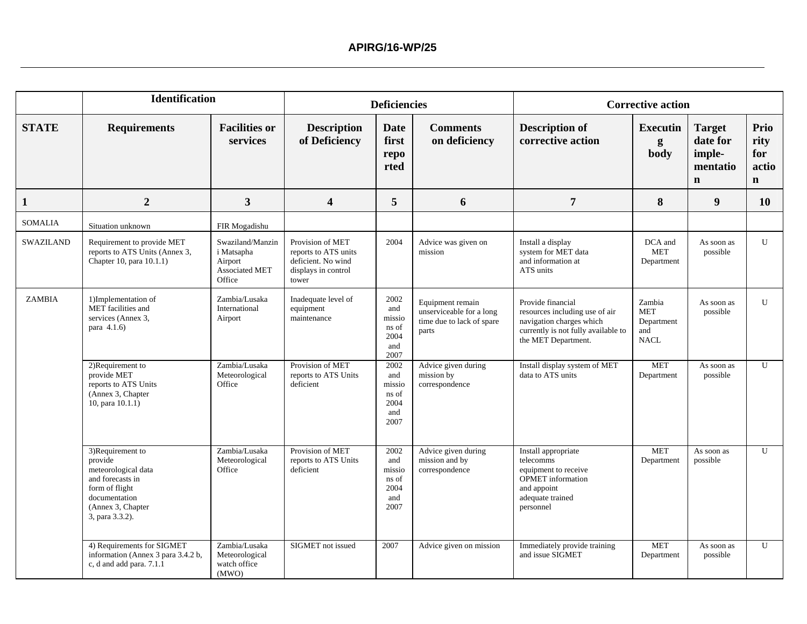|                | <b>Identification</b>                                                                                                                             |                                                                              |                                                                                                | <b>Deficiencies</b>                                   |                                                                                    |                                                                                                                                               | <b>Corrective action</b>                                |                                                                |                                             |
|----------------|---------------------------------------------------------------------------------------------------------------------------------------------------|------------------------------------------------------------------------------|------------------------------------------------------------------------------------------------|-------------------------------------------------------|------------------------------------------------------------------------------------|-----------------------------------------------------------------------------------------------------------------------------------------------|---------------------------------------------------------|----------------------------------------------------------------|---------------------------------------------|
| <b>STATE</b>   | <b>Requirements</b>                                                                                                                               | <b>Facilities or</b><br>services                                             | <b>Description</b><br>of Deficiency                                                            | <b>Date</b><br>first<br>repo<br>rted                  | <b>Comments</b><br>on deficiency                                                   | <b>Description of</b><br>corrective action                                                                                                    | <b>Executin</b><br>g<br>body                            | <b>Target</b><br>date for<br>imple-<br>mentatio<br>$\mathbf n$ | Prio<br>rity<br>for<br>actio<br>$\mathbf n$ |
| $\mathbf{1}$   | $\overline{2}$                                                                                                                                    | $\overline{\mathbf{3}}$                                                      | 4                                                                                              | 5                                                     | 6                                                                                  | $\overline{7}$                                                                                                                                | 8                                                       | 9                                                              | <b>10</b>                                   |
| <b>SOMALIA</b> | Situation unknown                                                                                                                                 | FIR Mogadishu                                                                |                                                                                                |                                                       |                                                                                    |                                                                                                                                               |                                                         |                                                                |                                             |
| SWAZILAND      | Requirement to provide MET<br>reports to ATS Units (Annex 3,<br>Chapter 10, para 10.1.1)                                                          | Swaziland/Manzin<br>i Matsapha<br>Airport<br><b>Associated MET</b><br>Office | Provision of MET<br>reports to ATS units<br>deficient. No wind<br>displays in control<br>tower | 2004                                                  | Advice was given on<br>mission                                                     | Install a display<br>system for MET data<br>and information at<br>ATS units                                                                   | DCA and<br><b>MET</b><br>Department                     | As soon as<br>possible                                         | U                                           |
| ZAMBIA         | 1)Implementation of<br>MET facilities and<br>services (Annex 3,<br>para 4.1.6)                                                                    | Zambia/Lusaka<br>International<br>Airport                                    | Inadequate level of<br>equipment<br>maintenance                                                | 2002<br>and<br>missio<br>ns of<br>2004<br>and<br>2007 | Equipment remain<br>unserviceable for a long<br>time due to lack of spare<br>parts | Provide financial<br>resources including use of air<br>navigation charges which<br>currently is not fully available to<br>the MET Department. | Zambia<br><b>MET</b><br>Department<br>and<br>$\rm NACL$ | As soon as<br>possible                                         | $\mathbf{U}$                                |
|                | 2)Requirement to<br>provide MET<br>reports to ATS Units<br>(Annex 3, Chapter<br>10, para 10.1.1)                                                  | Zambia/Lusaka<br>Meteorological<br>Office                                    | Provision of MET<br>reports to ATS Units<br>deficient                                          | 2002<br>and<br>missio<br>ns of<br>2004<br>and<br>2007 | Advice given during<br>mission by<br>correspondence                                | Install display system of MET<br>data to ATS units                                                                                            | <b>MET</b><br>Department                                | As soon as<br>possible                                         | $\mathbf{U}$                                |
|                | 3)Requirement to<br>provide<br>meteorological data<br>and forecasts in<br>form of flight<br>documentation<br>(Annex 3, Chapter<br>3, para 3.3.2). | Zambia/Lusaka<br>Meteorological<br>Office                                    | Provision of MET<br>reports to ATS Units<br>deficient                                          | 2002<br>and<br>missio<br>ns of<br>2004<br>and<br>2007 | Advice given during<br>mission and by<br>correspondence                            | Install appropriate<br>telecomms<br>equipment to receive<br><b>OPMET</b> information<br>and appoint<br>adequate trained<br>personnel          | <b>MET</b><br>Department                                | As soon as<br>possible                                         | U                                           |
|                | 4) Requirements for SIGMET<br>information (Annex 3 para 3.4.2 b,<br>c, d and add para. 7.1.1                                                      | Zambia/Lusaka<br>Meteorological<br>watch office<br>(MWO)                     | SIGMET not issued                                                                              | 2007                                                  | Advice given on mission                                                            | Immediately provide training<br>and issue SIGMET                                                                                              | <b>MET</b><br>Department                                | As soon as<br>possible                                         | U                                           |